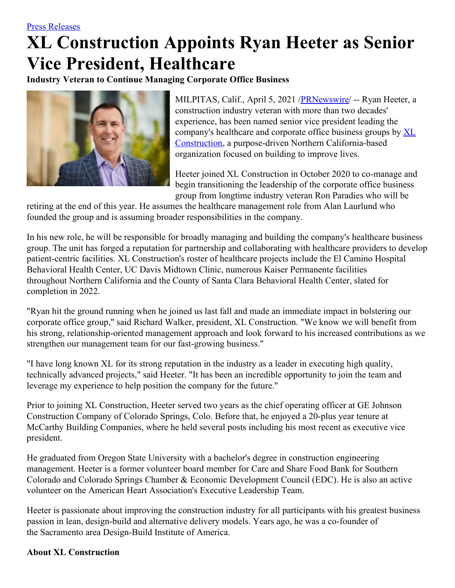## **XL Construction Appoints Ryan Heeter as Senior Vice President, Healthcare**

**Industry Veteran to Continue Managing Corporate Office Business**



MILPITAS, Calif., April 5, 2021 / [PRNewswire](http://www.prnewswire.com/) / -- Ryan Heeter, a construction industry veteran with more than two decades' experience, has been named senior vice president leading the company's healthcare and corporate office business groups by  $X_L$ Construction, a purpose-driven Northern [California-based](https://c212.net/c/link/?t=0&l=en&o=3118542-1&h=2640454484&u=https%3A%2F%2Fwww.xlconstruction.com%2F&a=XL+Construction) organization focused on building to improve lives.

Heeter joined XL Construction in October 2020 to co-manage and begin transitioning the leadership of the corporate office business group from longtime industry veteran Ron Paradies who will be

retiring at the end of this year. He assumes the healthcare management role from Alan Laurlund who founded the group and is assuming broader responsibilities in the company.

In his new role, he will be responsible for broadly managing and building the company's healthcare business group. The unit has forged a reputation for partnership and collaborating with healthcare providers to develop patient-centric facilities. XL Construction's roster of healthcare projects include the El Camino Hospital Behavioral Health Center, UC Davis Midtown Clinic, numerous Kaiser Permanente facilities throughout Northern California and the County of Santa Clara Behavioral Health Center, slated for completion in 2022.

"Ryan hit the ground running when he joined us last fall and made an immediate impact in bolstering our corporate office group," said Richard Walker, president, XL Construction. "We know we will benefit from his strong, relationship-oriented management approach and look forward to his increased contributions as we strengthen our management team for our fast-growing business."

"I have long known XL for its strong reputation in the industry as a leader in executing high quality, technically advanced projects," said Heeter. "It has been an incredible opportunity to join the team and leverage my experience to help position the company for the future."

Prior to joining XL Construction, Heeter served two years as the chief operating officer at GE Johnson Construction Company of Colorado Springs, Colo. Before that, he enjoyed a 20-plus year tenure at McCarthy Building Companies, where he held several posts including his most recent as executive vice president.

He graduated from Oregon State University with a bachelor's degree in construction engineering management. Heeter is a former volunteer board member for Care and Share Food Bank for Southern Colorado and Colorado Springs Chamber & Economic Development Council (EDC). He is also an active volunteer on the American Heart Association's Executive Leadership Team.

Heeter is passionate about improving the construction industry for all participants with his greatest business passion in lean, design-build and alternative delivery models. Years ago, he was a co-founder of the Sacramento area Design-Build Institute of America.

## **About XL Construction**